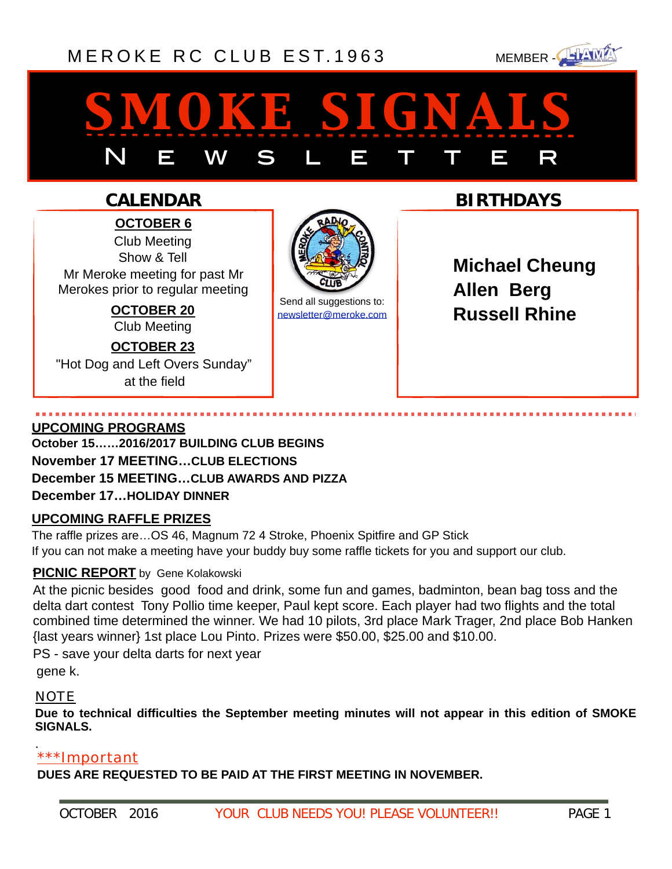## [MEROKE RC CLUB](http://www.meroke.com) EST. 1963 MEMBER-



# *smoke signals* N E W S L E T T E R

### **CALENDAR**

**OCTOBER 6** Club Meeting Show & Tell Mr Meroke meeting for past Mr Merokes prior to regular meeting

> **OCTOBER 20** Club Meeting **OCTOBER 23**

"Hot Dog and Left Overs Sunday" at the field



Send all suggestions to: [newsletter@meroke.com](mailto:newsletter@meroke.com) **BIRTHDAYS**

**Michael Cheung Allen Berg Russell Rhine**

#### **UPCOMING PROGRAMS**

**October 15……2016/2017 BUILDING CLUB BEGINS November 17 MEETING…CLUB ELECTIONS December 15 MEETING…CLUB AWARDS AND PIZZA December 17…HOLIDAY DINNER**

#### **UPCOMING RAFFLE PRIZES**

The raffle prizes are…OS 46, Magnum 72 4 Stroke, Phoenix Spitfire and GP Stick If you can not make a meeting have your buddy buy some raffle tickets for you and support our club.

### **PICNIC REPORT** by Gene Kolakowski

At the picnic besides good food and drink, some fun and games, badminton, bean bag toss and the delta dart contest Tony Pollio time keeper, Paul kept score. Each player had two flights and the total combined time determined the winner. We had 10 pilots, 3rd place Mark Trager, 2nd place Bob Hanken {last years winner} 1st place Lou Pinto. Prizes were \$50.00, \$25.00 and \$10.00.

PS - save your delta darts for next year

gene k.

#### NOTE

**Due to technical difficulties the September meeting minutes will not appear in this edition of SMOKE SIGNALS.** 

#### \*\*\*Important .

**DUES ARE REQUESTED TO BE PAID AT THE FIRST MEETING IN NOVEMBER.**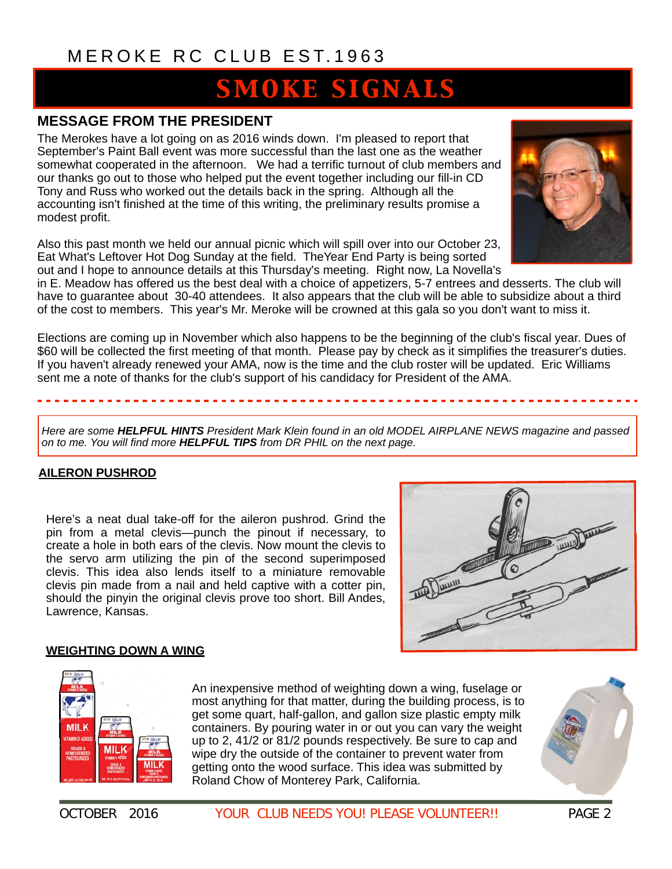# **SMOKE SIGNALS**

#### **MESSAGE FROM THE PRESIDENT**

The Merokes have a lot going on as 2016 winds down. I'm pleased to report that September's Paint Ball event was more successful than the last one as the weather somewhat cooperated in the afternoon. We had a terrific turnout of club members and our thanks go out to those who helped put the event together including our fill-in CD Tony and Russ who worked out the details back in the spring. Although all the accounting isn't finished at the time of this writing, the preliminary results promise a modest profit.

Also this past month we held our annual picnic which will spill over into our October 23, Eat What's Leftover Hot Dog Sunday at the field. TheYear End Party is being sorted out and I hope to announce details at this Thursday's meeting. Right now, La Novella's



in E. Meadow has offered us the best deal with a choice of appetizers, 5-7 entrees and desserts. The club will have to guarantee about 30-40 attendees. It also appears that the club will be able to subsidize about a third of the cost to members. This year's Mr. Meroke will be crowned at this gala so you don't want to miss it.

Elections are coming up in November which also happens to be the beginning of the club's fiscal year. Dues of \$60 will be collected the first meeting of that month. Please pay by check as it simplifies the treasurer's duties. If you haven't already renewed your AMA, now is the time and the club roster will be updated. Eric Williams sent me a note of thanks for the club's support of his candidacy for President of the AMA.

*Here are some HELPFUL HINTS President Mark Klein found in an old MODEL AIRPLANE NEWS magazine and passed on to me. You will find more HELPFUL TIPS from DR PHIL on the next page.* 

#### **AILERON PUSHROD**

Here's a neat dual take-off for the aileron pushrod. Grind the pin from a metal clevis—punch the pinout if necessary, to create a hole in both ears of the clevis. Now mount the clevis to the servo arm utilizing the pin of the second superimposed clevis. This idea also lends itself to a miniature removable clevis pin made from a nail and held captive with a cotter pin, should the pinyin the original clevis prove too short. Bill Andes, Lawrence, Kansas.



#### **WEIGHTING DOWN A WING**



An inexpensive method of weighting down a wing, fuselage or most anything for that matter, during the building process, is to get some quart, half-gallon, and gallon size plastic empty milk containers. By pouring water in or out you can vary the weight up to 2, 41/2 or 81/2 pounds respectively. Be sure to cap and wipe dry the outside of the container to prevent water from getting onto the wood surface. This idea was submitted by Roland Chow of Monterey Park, California.

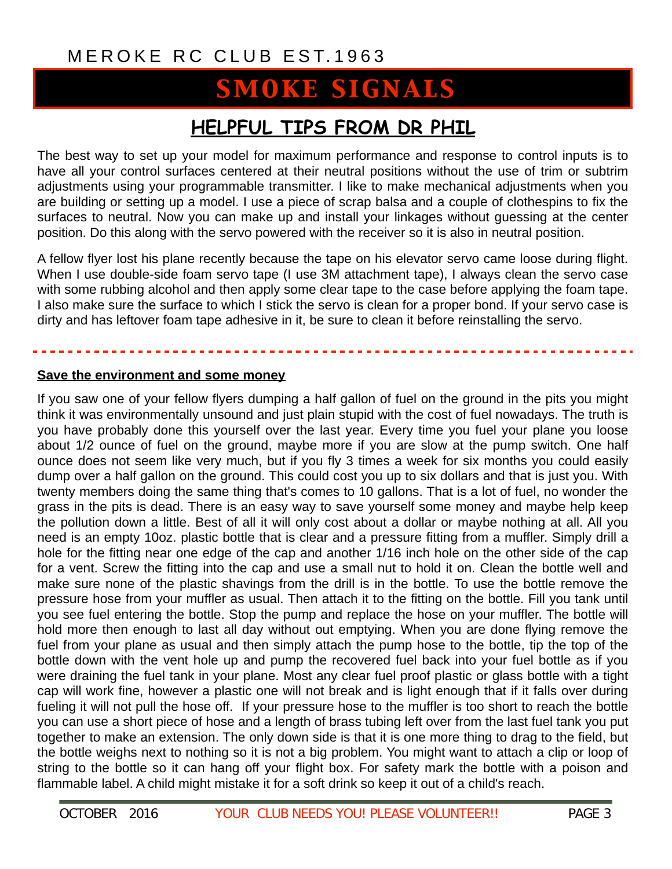# **SMOKE SIGNALS**

### **HELPFUL TIPS FROM DR PHIL**

The best way to set up your model for maximum performance and response to control inputs is to have all your control surfaces centered at their neutral positions without the use of trim or subtrim adjustments using your programmable transmitter. I like to make mechanical adjustments when you are building or setting up a model. I use a piece of scrap balsa and a couple of clothespins to fix the surfaces to neutral. Now you can make up and install your linkages without guessing at the center position. Do this along with the servo powered with the receiver so it is also in neutral position.

A fellow flyer lost his plane recently because the tape on his elevator servo came loose during flight. When I use double-side foam servo tape (I use 3M attachment tape), I always clean the servo case with some rubbing alcohol and then apply some clear tape to the case before applying the foam tape. I also make sure the surface to which I stick the servo is clean for a proper bond. If your servo case is dirty and has leftover foam tape adhesive in it, be sure to clean it before reinstalling the servo.

#### **Save the environment and some money**

If you saw one of your fellow flyers dumping a half gallon of fuel on the ground in the pits you might think it was environmentally unsound and just plain stupid with the cost of fuel nowadays. The truth is you have probably done this yourself over the last year. Every time you fuel your plane you loose about 1/2 ounce of fuel on the ground, maybe more if you are slow at the pump switch. One half ounce does not seem like very much, but if you fly 3 times a week for six months you could easily dump over a half gallon on the ground. This could cost you up to six dollars and that is just you. With twenty members doing the same thing that's comes to 10 gallons. That is a lot of fuel, no wonder the grass in the pits is dead. There is an easy way to save yourself some money and maybe help keep the pollution down a little. Best of all it will only cost about a dollar or maybe nothing at all. All you need is an empty 10oz. plastic bottle that is clear and a pressure fitting from a muffler. Simply drill a hole for the fitting near one edge of the cap and another 1/16 inch hole on the other side of the cap for a vent. Screw the fitting into the cap and use a small nut to hold it on. Clean the bottle well and make sure none of the plastic shavings from the drill is in the bottle. To use the bottle remove the pressure hose from your muffler as usual. Then attach it to the fitting on the bottle. Fill you tank until you see fuel entering the bottle. Stop the pump and replace the hose on your muffler. The bottle will hold more then enough to last all day without out emptying. When you are done flying remove the fuel from your plane as usual and then simply attach the pump hose to the bottle, tip the top of the bottle down with the vent hole up and pump the recovered fuel back into your fuel bottle as if you were draining the fuel tank in your plane. Most any clear fuel proof plastic or glass bottle with a tight cap will work fine, however a plastic one will not break and is light enough that if it falls over during fueling it will not pull the hose off. If your pressure hose to the muffler is too short to reach the bottle you can use a short piece of hose and a length of brass tubing left over from the last fuel tank you put together to make an extension. The only down side is that it is one more thing to drag to the field, but the bottle weighs next to nothing so it is not a big problem. You might want to attach a clip or loop of string to the bottle so it can hang off your flight box. For safety mark the bottle with a poison and flammable label. A child might mistake it for a soft drink so keep it out of a child's reach.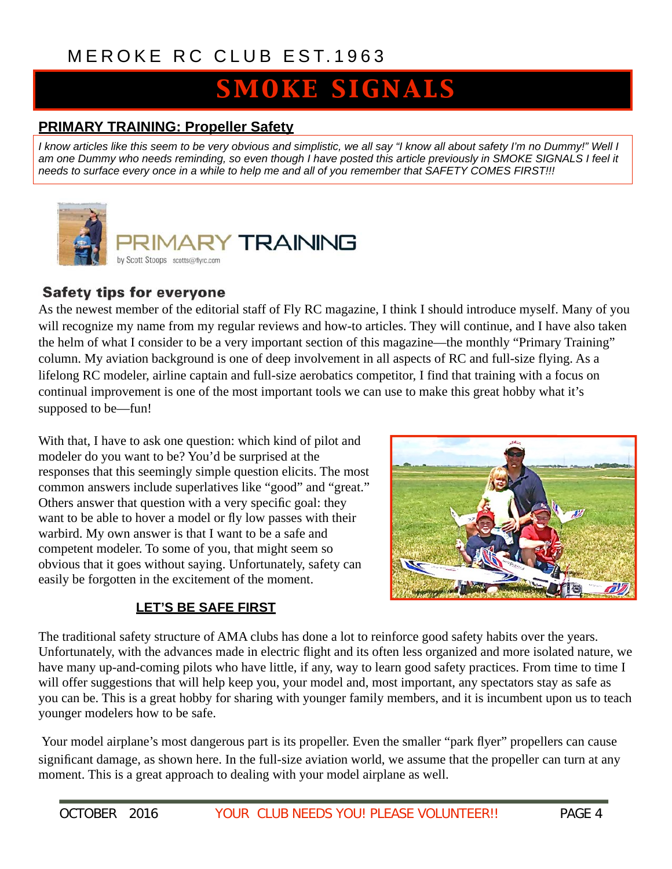# **SMOKE SIGNALS**

#### **PRIMARY TRAINING: Propeller Safety**

*I know articles like this seem to be very obvious and simplistic, we all say "I know all about safety I'm no Dummy!" Well I*  am one Dummy who needs reminding, so even though I have posted this article previously in SMOKE SIGNALS I feel it *needs to surface every once in a while to help me and all of you remember that SAFETY COMES FIRST!!!* 



#### **Safety tips for everyone**

As the newest member of the editorial staff of Fly RC magazine, I think I should introduce myself. Many of you will recognize my name from my regular reviews and how-to articles. They will continue, and I have also taken the helm of what I consider to be a very important section of this magazine—the monthly "Primary Training" column. My aviation background is one of deep involvement in all aspects of RC and full-size flying. As a lifelong RC modeler, airline captain and full-size aerobatics competitor, I find that training with a focus on continual improvement is one of the most important tools we can use to make this great hobby what it's supposed to be—fun!

With that, I have to ask one question: which kind of pilot and modeler do you want to be? You'd be surprised at the responses that this seemingly simple question elicits. The most common answers include superlatives like "good" and "great." Others answer that question with a very specific goal: they want to be able to hover a model or fly low passes with their warbird. My own answer is that I want to be a safe and competent modeler. To some of you, that might seem so obvious that it goes without saying. Unfortunately, safety can easily be forgotten in the excitement of the moment.



#### **LET'S BE SAFE FIRST**

The traditional safety structure of AMA clubs has done a lot to reinforce good safety habits over the years. Unfortunately, with the advances made in electric flight and its often less organized and more isolated nature, we have many up-and-coming pilots who have little, if any, way to learn good safety practices. From time to time I will offer suggestions that will help keep you, your model and, most important, any spectators stay as safe as you can be. This is a great hobby for sharing with younger family members, and it is incumbent upon us to teach younger modelers how to be safe.

Your model airplane's most dangerous part is its propeller. Even the smaller "park flyer" propellers can cause significant damage, as shown here. In the full-size aviation world, we assume that the propeller can turn at any moment. This is a great approach to dealing with your model airplane as well.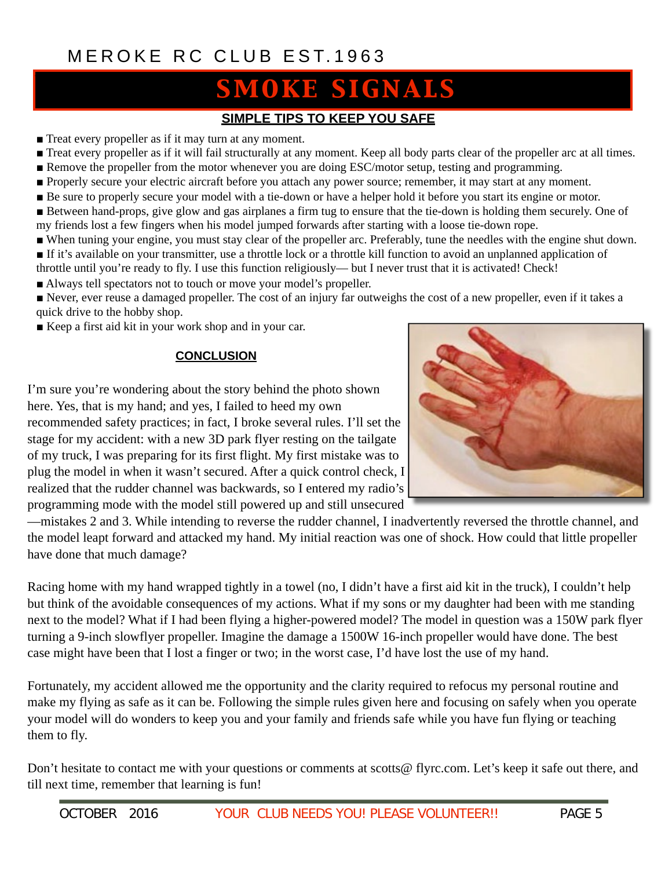# **SMOKE SIGNALS**

#### **SIMPLE TIPS TO KEEP YOU SAFE**

- Treat every propeller as if it may turn at any moment.
- Treat every propeller as if it will fail structurally at any moment. Keep all body parts clear of the propeller arc at all times.
- Remove the propeller from the motor whenever you are doing ESC/motor setup, testing and programming.
- Properly secure your electric aircraft before you attach any power source; remember, it may start at any moment.
- Be sure to properly secure your model with a tie-down or have a helper hold it before you start its engine or motor.
- Between hand-props, give glow and gas airplanes a firm tug to ensure that the tie-down is holding them securely. One of my friends lost a few fingers when his model jumped forwards after starting with a loose tie-down rope.
- When tuning your engine, you must stay clear of the propeller arc. Preferably, tune the needles with the engine shut down.
- If it's available on your transmitter, use a throttle lock or a throttle kill function to avoid an unplanned application of
- throttle until you're ready to fly. I use this function religiously— but I never trust that it is activated! Check!
- Always tell spectators not to touch or move your model's propeller.

■ Never, ever reuse a damaged propeller. The cost of an injury far outweighs the cost of a new propeller, even if it takes a quick drive to the hobby shop.

■ Keep a first aid kit in your work shop and in your car.

#### **CONCLUSION**

I'm sure you're wondering about the story behind the photo shown here. Yes, that is my hand; and yes, I failed to heed my own recommended safety practices; in fact, I broke several rules. I'll set the stage for my accident: with a new 3D park flyer resting on the tailgate of my truck, I was preparing for its first flight. My first mistake was to plug the model in when it wasn't secured. After a quick control check, I realized that the rudder channel was backwards, so I entered my radio's programming mode with the model still powered up and still unsecured



—mistakes 2 and 3. While intending to reverse the rudder channel, I inadvertently reversed the throttle channel, and the model leapt forward and attacked my hand. My initial reaction was one of shock. How could that little propeller have done that much damage?

Racing home with my hand wrapped tightly in a towel (no, I didn't have a first aid kit in the truck), I couldn't help but think of the avoidable consequences of my actions. What if my sons or my daughter had been with me standing next to the model? What if I had been flying a higher-powered model? The model in question was a 150W park flyer turning a 9-inch slowflyer propeller. Imagine the damage a 1500W 16-inch propeller would have done. The best case might have been that I lost a finger or two; in the worst case, I'd have lost the use of my hand.

Fortunately, my accident allowed me the opportunity and the clarity required to refocus my personal routine and make my flying as safe as it can be. Following the simple rules given here and focusing on safely when you operate your model will do wonders to keep you and your family and friends safe while you have fun flying or teaching them to fly.

Don't hesitate to contact me with your questions or comments at scotts@ flyrc.com. Let's keep it safe out there, and till next time, remember that learning is fun!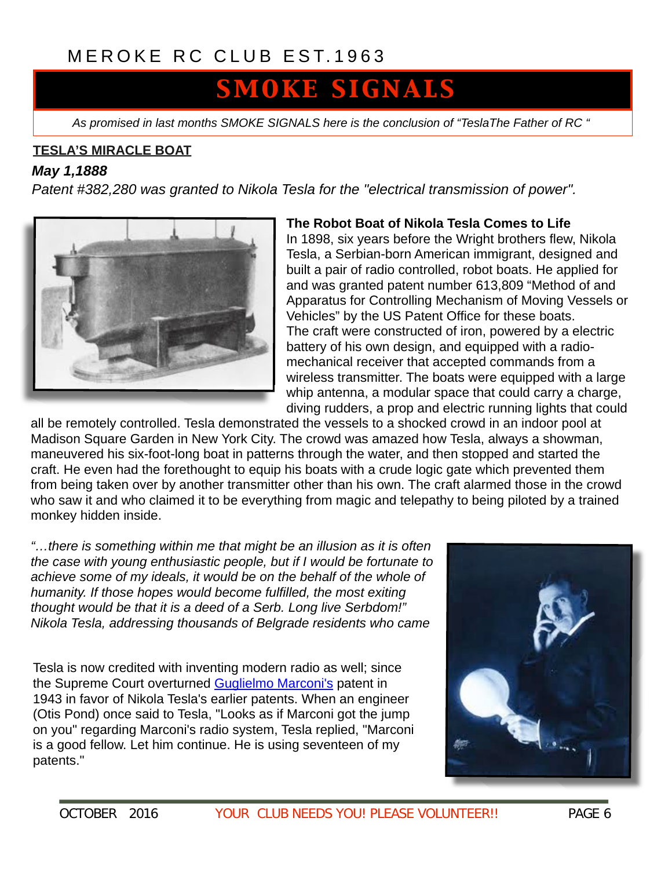# SMOKE SIGNALS

*As promised in last months SMOKE SIGNALS here is the conclusion of "TeslaThe Father of RC "*

#### **TESLA'S MIRACLE BOAT**

#### *May 1,1888*

*Patent #382,280 was granted to [Nikola Tesla](http://inventors.about.com/od/tstartinventions/a/Nikola_Tesla.htm) for the "electrical transmission of power".*



#### **The Robot Boat of Nikola Tesla Comes to Life**

In 1898, six years before the Wright brothers flew, Nikola Tesla, a Serbian-born American immigrant, designed and built a pair of radio controlled, robot boats. He applied for and was granted patent number 613,809 "Method of and Apparatus for Controlling Mechanism of Moving Vessels or Vehicles" by the US Patent Office for these boats. The craft were constructed of iron, powered by a electric battery of his own design, and equipped with a radiomechanical receiver that accepted commands from a wireless transmitter. The boats were equipped with a large whip antenna, a modular space that could carry a charge, diving rudders, a prop and electric running lights that could

all be remotely controlled. Tesla demonstrated the vessels to a shocked crowd in an indoor pool at Madison Square Garden in New York City. The crowd was amazed how Tesla, always a showman, maneuvered his six-foot-long boat in patterns through the water, and then stopped and started the craft. He even had the forethought to equip his boats with a crude logic gate which prevented them from being taken over by another transmitter other than his own. The craft alarmed those in the crowd who saw it and who claimed it to be everything from magic and telepathy to being piloted by a trained monkey hidden inside.

*"…there is something within me that might be an illusion as it is often the case with young enthusiastic people, but if I would be fortunate to*  achieve some of my ideals, it would be on the behalf of the whole of *humanity. If those hopes would become fulfilled, the most exiting thought would be that it is a deed of a Serb. Long live Serbdom!" Nikola Tesla, addressing thousands of Belgrade residents who came* 

Tesla is now credited with inventing modern radio as well; since the Supreme Court overturned [Guglielmo Marconi's](http://inventors.about.com/library/inventors/blradio.htm) patent in 1943 in favor of Nikola Tesla's earlier patents. When an engineer (Otis Pond) once said to Tesla, "Looks as if Marconi got the jump on you" regarding Marconi's radio system, Tesla replied, "Marconi is a good fellow. Let him continue. He is using seventeen of my patents."

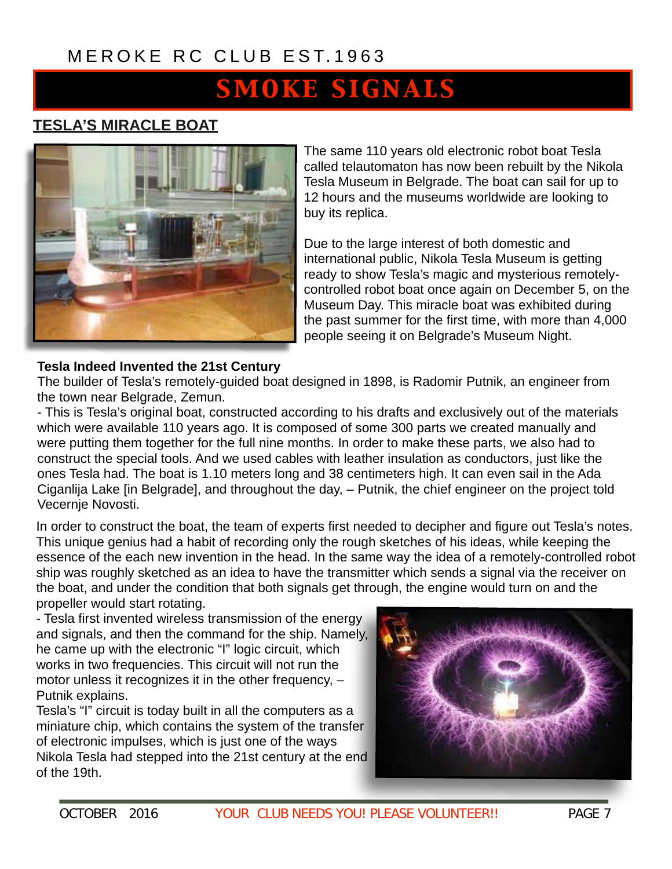# **SMOKE SIGNALS**

#### **TESLA'S MIRACLE BOAT**



The same 110 years old electronic robot boat Tesla called telautomaton has now been rebuilt by the Nikola Tesla Museum in Belgrade. The boat can sail for up to 12 hours and the museums worldwide are looking to buy its replica.

Due to the large interest of both domestic and international public, Nikola Tesla Museum is getting ready to show Tesla's magic and mysterious remotelycontrolled robot boat once again on December 5, on the Museum Day. This miracle boat was exhibited during the past summer for the first time, with more than 4,000 people seeing it on Belgrade's Museum Night.

#### **Tesla Indeed Invented the 21st Century**

The builder of Tesla's remotely-guided boat designed in 1898, is Radomir Putnik, an engineer from the town near Belgrade, Zemun.

- This is Tesla's original boat, constructed according to his drafts and exclusively out of the materials which were available 110 years ago. It is composed of some 300 parts we created manually and were putting them together for the full nine months. In order to make these parts, we also had to construct the special tools. And we used cables with leather insulation as conductors, just like the ones Tesla had. The boat is 1.10 meters long and 38 centimeters high. It can even sail in the Ada [Ciganlija Lake \[in Belgrade\], and throughout the day, – Putnik, the chief engineer on the project told](http://www.novosti.rs/code/navigate.php?Id=10&status=jedna&vest=130700&datum=2008-10-21)  Vecernje Novosti.

In order to construct the boat, the team of experts first needed to decipher and figure out Tesla's notes. This unique genius had a habit of recording only the rough sketches of his ideas, while keeping the essence of the each new invention in the head. In the same way the idea of a remotely-controlled robot ship was roughly sketched as an idea to have the transmitter which sends a signal via the receiver on the boat, and under the condition that both signals get through, the engine would turn on and the propeller would start rotating.

- Tesla first invented wireless transmission of the energy and signals, and then the command for the ship. Namely, he came up with the electronic "I" logic circuit, which works in two frequencies. This circuit will not run the motor unless it recognizes it in the other frequency, – Putnik explains.

Tesla's "I" circuit is today built in all the computers as a miniature chip, which contains the system of the transfer of electronic impulses, which is just one of the ways Nikola Tesla had stepped into the 21st century at the end of the 19th.